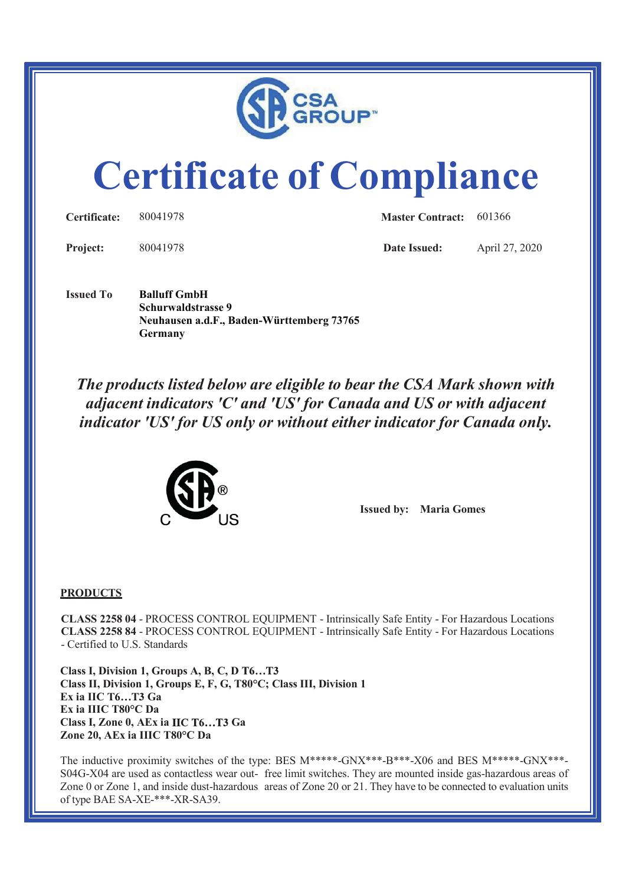

# **Certificate of Compliance**

| Certificate:    | 80041978 | <b>Master Contract:</b> 601366 |                |
|-----------------|----------|--------------------------------|----------------|
| <b>Project:</b> | 80041978 | Date Issued:                   | April 27, 2020 |

**Issued To Balluff GmbH Schurwaldstrasse 9 Neuhausen a.d.F., Baden-Württemberg 73765 Germany** 

*The products listed below are eligible to bear the CSA Mark shown with adjacent indicators 'C' and 'US' for Canada and US or with adjacent indicator 'US' for US only or without either indicator for Canada only.*



**Issued by: Maria Gomes**

#### **PRODUCTS**

**CLASS 2258 04** - PROCESS CONTROL EQUIPMENT - Intrinsically Safe Entity - For Hazardous Locations **CLASS 2258 84** - PROCESS CONTROL EQUIPMENT - Intrinsically Safe Entity - For Hazardous Locations - Certified to U.S. Standards

**Class I, Division 1, Groups A, B, C, D Class II, Division 1, Groups E, F, G, T80°C; Class III, Division 1 Ex ia IIC T6...T3 Ga Ex ia IIIC T80°C Da Class I, Zone 0, AEx ia IIC T6...T3 Ga Zone 20, AEx ia IIIC T80°C Da**

The inductive proximity switches of the type: BES M\*\*\*\*\*-GNX\*\*\*-B\*\*\*-X06 and BES M\*\*\*\*\*-GNX\*\*\*-S04G-X04 are used as contactless wear out- free limit switches. They are mounted inside gas-hazardous areas of Zone 0 or Zone 1, and inside dust-hazardous areas of Zone 20 or 21. They have to be connected to evaluation units of type BAE SA-XE-\*\*\*-XR-SA39.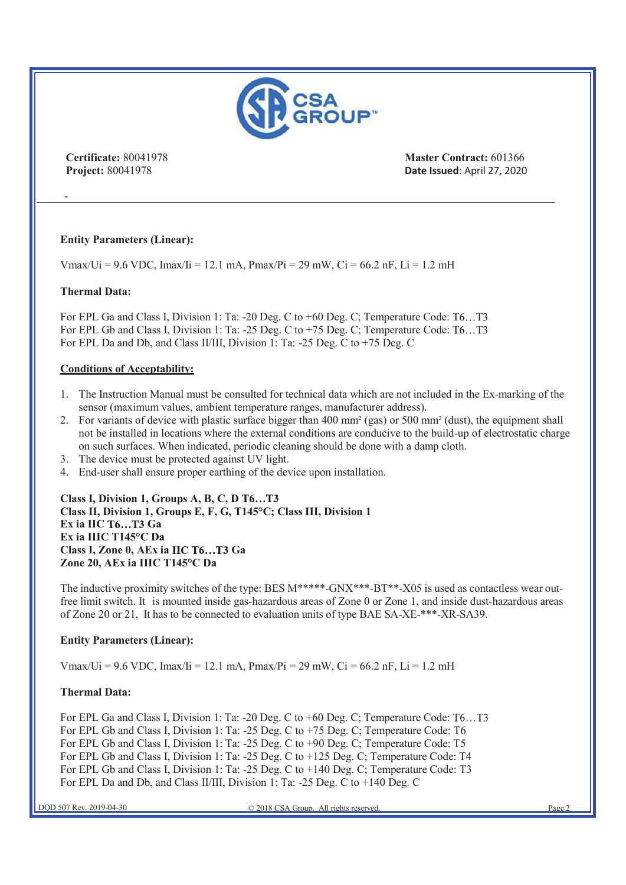

**Certificate:** 80041978 **Master Contract:** 601366 **Project:** 80041978 **Date Issued: April 27, 2020** 

### **Entity Parameters (Linear):**

Vmax/Ui = 9.6 VDC, Imax/Ii = 12.1 mA, Pmax/Pi = 29 mW, Ci = 66.2 nF, Li = 1.2 mH

#### **Thermal Data:**

-

For EPL Ga and Class I, Division 1: Ta: -20 Deg. C to +60 Deg. C; Temperature Code: T6...T3 For EPL Gb and Class I, Division 1: Ta: -25 Deg. C to +75 Deg. C; Temperature Code: T6...T3 For EPL Da and Db, and Class II/III, Division 1: Ta: -25 Deg. C to +75 Deg. C

#### **Conditions of Acceptability:**

- 1. The Instruction Manual must be consulted for technical data which are not included in the Ex-marking of the sensor (maximum values, ambient temperature ranges, manufacturer address).
- 2. For variants of device with plastic surface bigger than 400 mm<sup>2</sup> (gas) or 500 mm<sup>2</sup> (dust), the equipment shall not be installed in locations where the external conditions are conducive to the build-up of electrostatic charge on such surfaces. When indicated, periodic cleaning should be done with a damp cloth.
- 3. The device must be protected against UV light.
- 4. End-user shall ensure proper earthing of the device upon installation.

**Class I, Division 1, Groups A, B, C, D Class II, Division 1, Groups E, F, G, T145°C; Class III, Division 1 Ex ia IIC T6...T3 Ga Ex ia IIIC T145°C Da Class I, Zone 0, AEx ia IIC T6...T3 Ga Zone 20, AEx ia IIIC T145°C Da**

The inductive proximity switches of the type: BES M\*\*\*\*\*-GNX\*\*\*-BT\*\*-X05 is used as contactless wear outfree limit switch. It is mounted inside gas-hazardous areas of Zone 0 or Zone 1, and inside dust-hazardous areas of Zone 20 or 21, It has to be connected to evaluation units of type BAE SA-XE-\*\*\*-XR-SA39.

#### **Entity Parameters (Linear):**

Vmax/Ui = 9.6 VDC, Imax/Ii = 12.1 mA, Pmax/Pi = 29 mW, Ci = 66.2 nF, Li = 1.2 mH

#### **Thermal Data:**

For EPL Ga and Class I, Division 1: Ta: -20 Deg. C to +60 Deg. C; Temperature Code: T6...T3 For EPL Gb and Class I, Division 1: Ta: -25 Deg. C to +75 Deg. C; Temperature Code: T6 For EPL Gb and Class I, Division 1: Ta: -25 Deg. C to +90 Deg. C; Temperature Code: T5 For EPL Gb and Class I, Division 1: Ta: -25 Deg. C to +125 Deg. C; Temperature Code: T4 For EPL Gb and Class I, Division 1: Ta: -25 Deg. C to +140 Deg. C; Temperature Code: T3 For EPL Da and Db, and Class II/III, Division 1: Ta: -25 Deg. C to +140 Deg. C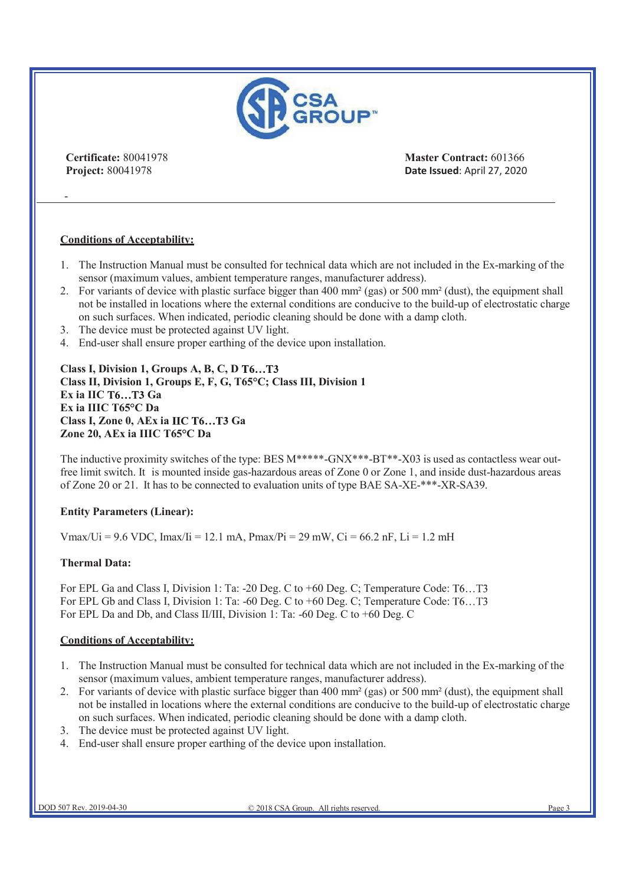

-

**Certificate:** 80041978 **Master Contract:** 601366 **Project:** 80041978 **Date Issued: April 27, 2020** 

#### **Conditions of Acceptability:**

- 1. The Instruction Manual must be consulted for technical data which are not included in the Ex-marking of the sensor (maximum values, ambient temperature ranges, manufacturer address).
- 2. For variants of device with plastic surface bigger than 400 mm² (gas) or 500 mm² (dust), the equipment shall not be installed in locations where the external conditions are conducive to the build-up of electrostatic charge on such surfaces. When indicated, periodic cleaning should be done with a damp cloth.
- 3. The device must be protected against UV light.
- 4. End-user shall ensure proper earthing of the device upon installation.

**Class I, Division 1, Groups A, B, C, D Class II, Division 1, Groups E, F, G, T65°C; Class III, Division 1 Ex ia IIC T6...T3 Ga Ex ia IIIC T65°C Da Class I, Zone 0, AEx ia IIC T6...T3 Ga Zone 20, AEx ia IIIC T65°C Da**

The inductive proximity switches of the type: BES  $M^{***}$ -GNX\*\*\*-BT\*\*-X03 is used as contactless wear outfree limit switch. It is mounted inside gas-hazardous areas of Zone 0 or Zone 1, and inside dust-hazardous areas of Zone 20 or 21. It has to be connected to evaluation units of type BAE SA-XE-\*\*\*-XR-SA39.

#### **Entity Parameters (Linear):**

Vmax/Ui = 9.6 VDC, Imax/Ii = 12.1 mA, Pmax/Pi = 29 mW, Ci = 66.2 nF, Li = 1.2 mH

#### **Thermal Data:**

For EPL Ga and Class I, Division 1: Ta: -20 Deg. C to +60 Deg. C; Temperature Code: T6...T3 For EPL Gb and Class I, Division 1: Ta: -60 Deg. C to +60 Deg. C; Temperature Code: T6...T3 For EPL Da and Db, and Class II/III, Division 1: Ta: -60 Deg. C to +60 Deg. C

#### **Conditions of Acceptability:**

- 1. The Instruction Manual must be consulted for technical data which are not included in the Ex-marking of the sensor (maximum values, ambient temperature ranges, manufacturer address).
- 2. For variants of device with plastic surface bigger than 400 mm² (gas) or 500 mm² (dust), the equipment shall not be installed in locations where the external conditions are conducive to the build-up of electrostatic charge on such surfaces. When indicated, periodic cleaning should be done with a damp cloth.
- 3. The device must be protected against UV light.
- 4. End-user shall ensure proper earthing of the device upon installation.